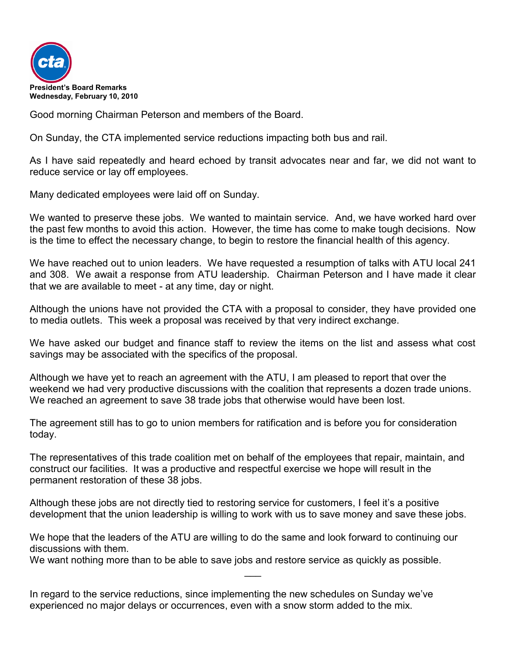

Good morning Chairman Peterson and members of the Board.

On Sunday, the CTA implemented service reductions impacting both bus and rail.

As I have said repeatedly and heard echoed by transit advocates near and far, we did not want to reduce service or lay off employees.

Many dedicated employees were laid off on Sunday.

We wanted to preserve these jobs. We wanted to maintain service. And, we have worked hard over the past few months to avoid this action. However, the time has come to make tough decisions. Now is the time to effect the necessary change, to begin to restore the financial health of this agency.

We have reached out to union leaders. We have requested a resumption of talks with ATU local 241 and 308. We await a response from ATU leadership. Chairman Peterson and I have made it clear that we are available to meet - at any time, day or night.

Although the unions have not provided the CTA with a proposal to consider, they have provided one to media outlets. This week a proposal was received by that very indirect exchange.

We have asked our budget and finance staff to review the items on the list and assess what cost savings may be associated with the specifics of the proposal.

Although we have yet to reach an agreement with the ATU, I am pleased to report that over the weekend we had very productive discussions with the coalition that represents a dozen trade unions. We reached an agreement to save 38 trade jobs that otherwise would have been lost.

The agreement still has to go to union members for ratification and is before you for consideration today.

The representatives of this trade coalition met on behalf of the employees that repair, maintain, and construct our facilities. It was a productive and respectful exercise we hope will result in the permanent restoration of these 38 jobs.

Although these jobs are not directly tied to restoring service for customers, I feel it's a positive development that the union leadership is willing to work with us to save money and save these jobs.

We hope that the leaders of the ATU are willing to do the same and look forward to continuing our discussions with them.

 $\overline{\phantom{a}}$ 

We want nothing more than to be able to save jobs and restore service as quickly as possible.

In regard to the service reductions, since implementing the new schedules on Sunday we've experienced no major delays or occurrences, even with a snow storm added to the mix.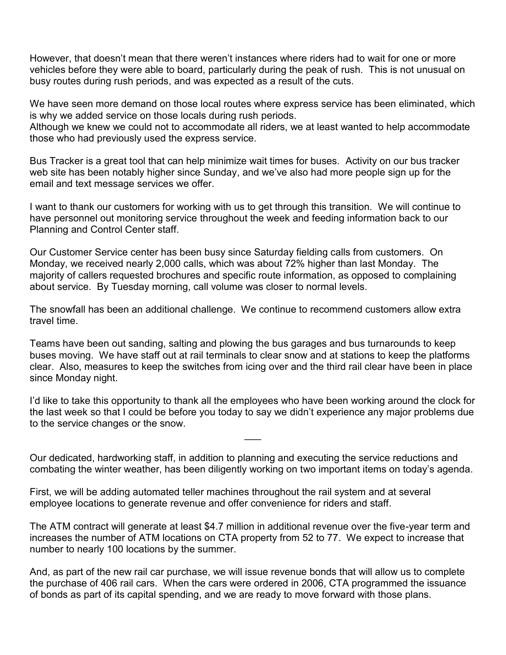However, that doesn't mean that there weren't instances where riders had to wait for one or more vehicles before they were able to board, particularly during the peak of rush. This is not unusual on busy routes during rush periods, and was expected as a result of the cuts.

We have seen more demand on those local routes where express service has been eliminated, which is why we added service on those locals during rush periods.

Although we knew we could not to accommodate all riders, we at least wanted to help accommodate those who had previously used the express service.

Bus Tracker is a great tool that can help minimize wait times for buses. Activity on our bus tracker web site has been notably higher since Sunday, and we've also had more people sign up for the email and text message services we offer.

I want to thank our customers for working with us to get through this transition. We will continue to have personnel out monitoring service throughout the week and feeding information back to our Planning and Control Center staff.

Our Customer Service center has been busy since Saturday fielding calls from customers. On Monday, we received nearly 2,000 calls, which was about 72% higher than last Monday. The majority of callers requested brochures and specific route information, as opposed to complaining about service. By Tuesday morning, call volume was closer to normal levels.

The snowfall has been an additional challenge. We continue to recommend customers allow extra travel time.

Teams have been out sanding, salting and plowing the bus garages and bus turnarounds to keep buses moving. We have staff out at rail terminals to clear snow and at stations to keep the platforms clear. Also, measures to keep the switches from icing over and the third rail clear have been in place since Monday night.

I'd like to take this opportunity to thank all the employees who have been working around the clock for the last week so that I could be before you today to say we didn't experience any major problems due to the service changes or the snow.

 $\overline{\phantom{a}}$ 

Our dedicated, hardworking staff, in addition to planning and executing the service reductions and combating the winter weather, has been diligently working on two important items on today's agenda.

First, we will be adding automated teller machines throughout the rail system and at several employee locations to generate revenue and offer convenience for riders and staff.

The ATM contract will generate at least \$4.7 million in additional revenue over the five-year term and increases the number of ATM locations on CTA property from 52 to 77. We expect to increase that number to nearly 100 locations by the summer.

And, as part of the new rail car purchase, we will issue revenue bonds that will allow us to complete the purchase of 406 rail cars. When the cars were ordered in 2006, CTA programmed the issuance of bonds as part of its capital spending, and we are ready to move forward with those plans.